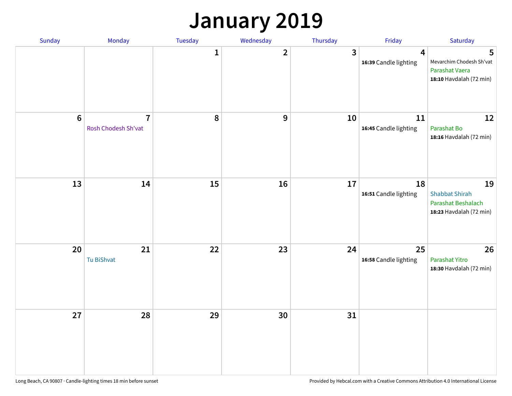### **January 2019**

| Sunday | Monday                                | Tuesday | Wednesday    | Thursday                | Friday                                           | Saturday                                                                     |
|--------|---------------------------------------|---------|--------------|-------------------------|--------------------------------------------------|------------------------------------------------------------------------------|
|        |                                       | 1       | $\mathbf{2}$ | $\overline{\mathbf{3}}$ | $\overline{\mathbf{4}}$<br>16:39 Candle lighting | 5<br>Mevarchim Chodesh Sh'vat<br>Parashat Vaera<br>18:10 Havdalah (72 min)   |
| $6\,$  | $\overline{7}$<br>Rosh Chodesh Sh'vat | 8       | 9            | 10                      | 11<br>16:45 Candle lighting                      | 12<br>Parashat Bo<br>18:16 Havdalah (72 min)                                 |
| 13     | 14                                    | 15      | 16           | 17                      | 18<br>16:51 Candle lighting                      | 19<br><b>Shabbat Shirah</b><br>Parashat Beshalach<br>18:23 Havdalah (72 min) |
| 20     | 21<br>Tu BiShvat                      | 22      | 23           | 24                      | 25<br>16:58 Candle lighting                      | 26<br><b>Parashat Yitro</b><br>18:30 Havdalah (72 min)                       |
| 27     | 28                                    | 29      | 30           | 31                      |                                                  |                                                                              |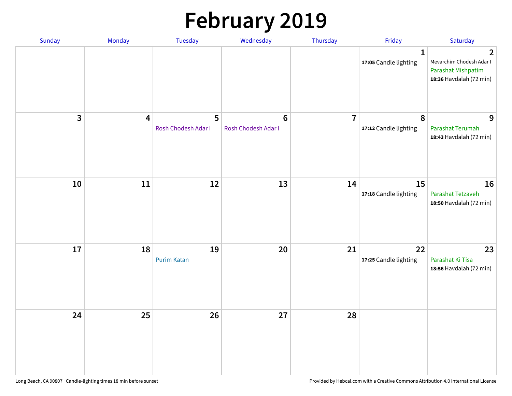# **February 2019**

| <b>Sunday</b> | Monday                  | <b>Tuesday</b>           | Wednesday                             | Thursday       | Friday                                | Saturday                                                                                    |
|---------------|-------------------------|--------------------------|---------------------------------------|----------------|---------------------------------------|---------------------------------------------------------------------------------------------|
|               |                         |                          |                                       |                | $\mathbf{1}$<br>17:05 Candle lighting | $\overline{2}$<br>Mevarchim Chodesh Adar I<br>Parashat Mishpatim<br>18:36 Havdalah (72 min) |
| 3             | $\overline{\mathbf{4}}$ | 5<br>Rosh Chodesh Adar I | $6\phantom{1}$<br>Rosh Chodesh Adar I | $\overline{7}$ | $\pmb{8}$<br>17:12 Candle lighting    | 9<br>Parashat Terumah<br>18:43 Havdalah (72 min)                                            |
| $10\,$        | $11\,$                  | 12                       | 13                                    | 14             | 15<br>17:18 Candle lighting           | 16<br>Parashat Tetzaveh<br>18:50 Havdalah (72 min)                                          |
| 17            | 18                      | 19<br><b>Purim Katan</b> | 20                                    | 21             | 22<br>17:25 Candle lighting           | 23<br>Parashat Ki Tisa<br>18:56 Havdalah (72 min)                                           |
| 24            | 25                      | 26                       | 27                                    | 28             |                                       |                                                                                             |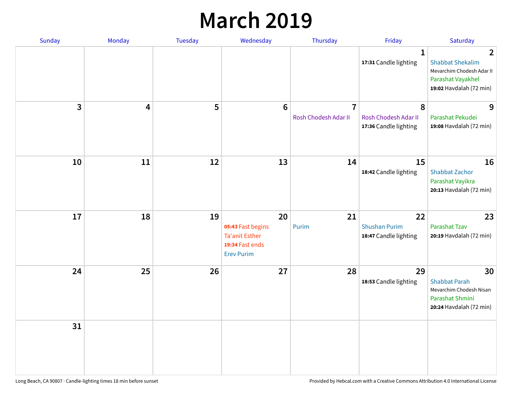### **March 2019**

| Sunday       | Monday | <b>Tuesday</b> | Wednesday                                                                                | Thursday                               | Friday                                              | Saturday                                                                                                               |
|--------------|--------|----------------|------------------------------------------------------------------------------------------|----------------------------------------|-----------------------------------------------------|------------------------------------------------------------------------------------------------------------------------|
|              |        |                |                                                                                          |                                        | $\mathbf{1}$<br>17:31 Candle lighting               | $\overline{2}$<br><b>Shabbat Shekalim</b><br>Mevarchim Chodesh Adar II<br>Parashat Vayakhel<br>19:02 Havdalah (72 min) |
| $\mathbf{3}$ | 4      | 5              | $6\phantom{1}$                                                                           | $\overline{7}$<br>Rosh Chodesh Adar II | 8<br>Rosh Chodesh Adar II<br>17:36 Candle lighting  | 9<br>Parashat Pekudei<br>19:08 Havdalah (72 min)                                                                       |
| 10           | 11     | 12             | 13                                                                                       | 14                                     | 15<br>18:42 Candle lighting                         | 16<br>Shabbat Zachor<br>Parashat Vayikra<br>20:13 Havdalah (72 min)                                                    |
| 17           | 18     | 19             | 20<br>05:43 Fast begins<br><b>Ta'anit Esther</b><br>19:34 Fast ends<br><b>Erev Purim</b> | 21<br>Purim                            | 22<br><b>Shushan Purim</b><br>18:47 Candle lighting | 23<br>Parashat Tzav<br>20:19 Havdalah (72 min)                                                                         |
| 24           | 25     | 26             | 27                                                                                       | 28                                     | 29<br>18:53 Candle lighting                         | 30<br><b>Shabbat Parah</b><br>Mevarchim Chodesh Nisan<br>Parashat Shmini<br>20:24 Havdalah (72 min)                    |
| 31           |        |                |                                                                                          |                                        |                                                     |                                                                                                                        |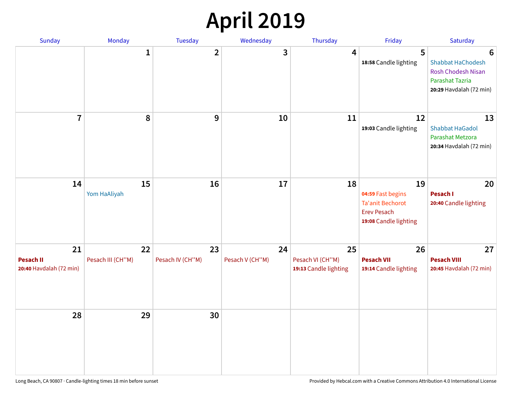# **April 2019**

| Sunday                                            | Monday                  | Tuesday                | Wednesday             | Thursday                                        | Friday                                                                                            | Saturday                                                                                                 |
|---------------------------------------------------|-------------------------|------------------------|-----------------------|-------------------------------------------------|---------------------------------------------------------------------------------------------------|----------------------------------------------------------------------------------------------------------|
|                                                   | 1                       | $\mathbf{2}$           | 3                     | 4                                               | 5<br>18:58 Candle lighting                                                                        | 6<br><b>Shabbat HaChodesh</b><br><b>Rosh Chodesh Nisan</b><br>Parashat Tazria<br>20:29 Havdalah (72 min) |
| $\overline{7}$                                    | 8                       | 9                      | 10                    | 11                                              | 12<br>19:03 Candle lighting                                                                       | 13<br><b>Shabbat HaGadol</b><br>Parashat Metzora<br>20:34 Havdalah (72 min)                              |
| 14                                                | 15<br>Yom HaAliyah      | 16                     | 17                    | 18                                              | 19<br>04:59 Fast begins<br><b>Ta'anit Bechorot</b><br><b>Erev Pesach</b><br>19:08 Candle lighting | 20<br>Pesach I<br>20:40 Candle lighting                                                                  |
| 21<br><b>Pesach II</b><br>20:40 Havdalah (72 min) | 22<br>Pesach III (CH"M) | 23<br>Pesach IV (CH"M) | 24<br>Pesach V (CH"M) | 25<br>Pesach VI (CH"M)<br>19:13 Candle lighting | 26<br><b>Pesach VII</b><br>19:14 Candle lighting                                                  | 27<br><b>Pesach VIII</b><br>20:45 Havdalah (72 min)                                                      |
| 28                                                | 29                      | 30                     |                       |                                                 |                                                                                                   |                                                                                                          |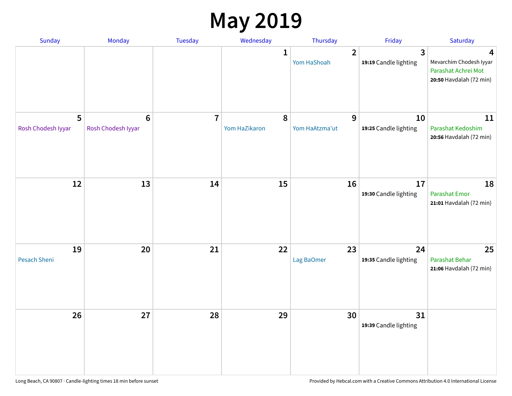### **May 2019**

| <b>Sunday</b>           | Monday                                | Tuesday        | Wednesday                  | Thursday                      | Friday                      | Saturday                                                                       |
|-------------------------|---------------------------------------|----------------|----------------------------|-------------------------------|-----------------------------|--------------------------------------------------------------------------------|
|                         |                                       |                | 1                          | $\overline{2}$<br>Yom HaShoah | 3<br>19:19 Candle lighting  | 4<br>Mevarchim Chodesh Iyyar<br>Parashat Achrei Mot<br>20:50 Havdalah (72 min) |
| 5<br>Rosh Chodesh Iyyar | $6\phantom{1}6$<br>Rosh Chodesh Iyyar | $\overline{7}$ | $\pmb{8}$<br>Yom HaZikaron | 9<br>Yom HaAtzma'ut           | 10<br>19:25 Candle lighting | 11<br>Parashat Kedoshim<br>20:56 Havdalah (72 min)                             |
| 12                      | 13                                    | 14             | 15                         | 16                            | 17<br>19:30 Candle lighting | 18<br><b>Parashat Emor</b><br>21:01 Havdalah (72 min)                          |
| 19<br>Pesach Sheni      | 20                                    | 21             | 22                         | 23<br>Lag BaOmer              | 24<br>19:35 Candle lighting | 25<br>Parashat Behar<br>21:06 Havdalah (72 min)                                |
| 26                      | 27                                    | 28             | 29                         | 30                            | 31<br>19:39 Candle lighting |                                                                                |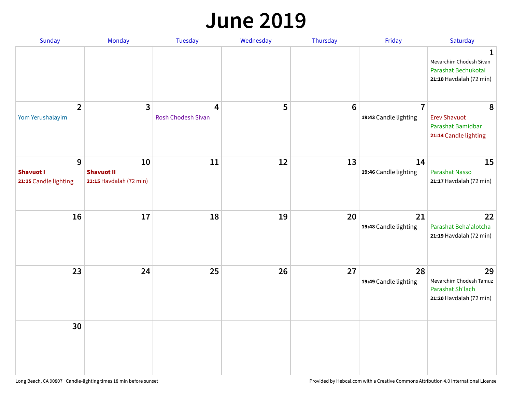#### **June 2019**

| Sunday                                         | Monday                                             | Tuesday                                       | Wednesday | Thursday        | Friday                                  | Saturday                                                                       |
|------------------------------------------------|----------------------------------------------------|-----------------------------------------------|-----------|-----------------|-----------------------------------------|--------------------------------------------------------------------------------|
|                                                |                                                    |                                               |           |                 |                                         | 1<br>Mevarchim Chodesh Sivan<br>Parashat Bechukotai<br>21:10 Havdalah (72 min) |
| $\overline{2}$<br>Yom Yerushalayim             | $\mathbf{3}$                                       | $\overline{\mathbf{4}}$<br>Rosh Chodesh Sivan | 5         | $6\phantom{1}6$ | $\overline{7}$<br>19:43 Candle lighting | 8<br><b>Erev Shavuot</b><br>Parashat Bamidbar<br>21:14 Candle lighting         |
| 9<br><b>Shavuot I</b><br>21:15 Candle lighting | 10<br><b>Shavuot II</b><br>21:15 Havdalah (72 min) | 11                                            | 12        | 13              | 14<br>19:46 Candle lighting             | 15<br><b>Parashat Nasso</b><br>21:17 Havdalah (72 min)                         |
| 16                                             | 17                                                 | 18                                            | 19        | 20              | 21<br>19:48 Candle lighting             | 22<br>Parashat Beha'alotcha<br>21:19 Havdalah (72 min)                         |
| 23                                             | 24                                                 | 25                                            | 26        | 27              | 28<br>19:49 Candle lighting             | 29<br>Mevarchim Chodesh Tamuz<br>Parashat Sh'lach<br>21:20 Havdalah (72 min)   |
| 30                                             |                                                    |                                               |           |                 |                                         |                                                                                |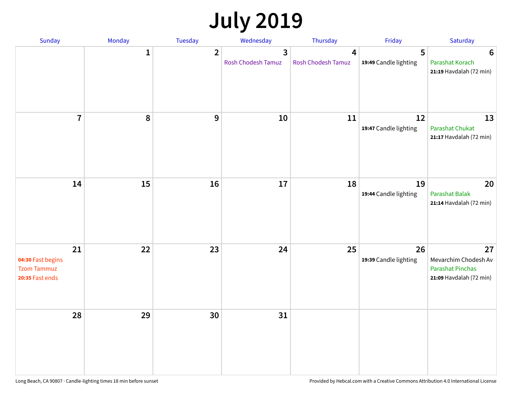# **July 2019**

| Sunday                                                           | Monday       | Tuesday          | Wednesday                                     | Thursday                | Friday                      | Saturday                                                                         |
|------------------------------------------------------------------|--------------|------------------|-----------------------------------------------|-------------------------|-----------------------------|----------------------------------------------------------------------------------|
|                                                                  | $\mathbf{1}$ | $\overline{2}$   | $\overline{\mathbf{3}}$<br>Rosh Chodesh Tamuz | 4<br>Rosh Chodesh Tamuz | 5<br>19:49 Candle lighting  | 6<br>Parashat Korach<br>21:19 Havdalah (72 min)                                  |
| $\overline{7}$                                                   | 8            | $\boldsymbol{9}$ | 10                                            | 11                      | 12<br>19:47 Candle lighting | 13<br>Parashat Chukat<br>21:17 Havdalah (72 min)                                 |
| 14                                                               | 15           | 16               | 17                                            | 18                      | 19<br>19:44 Candle lighting | 20<br>Parashat Balak<br>21:14 Havdalah (72 min)                                  |
| 21<br>04:30 Fast begins<br><b>Tzom Tammuz</b><br>20:35 Fast ends | 22           | 23               | 24                                            | 25                      | 26<br>19:39 Candle lighting | 27<br>Mevarchim Chodesh Av<br><b>Parashat Pinchas</b><br>21:09 Havdalah (72 min) |
| 28                                                               | 29           | 30               | 31                                            |                         |                             |                                                                                  |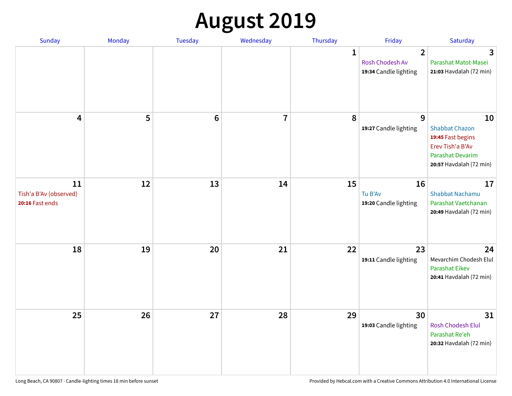# **August 2019**

| <b>Sunday</b>                                   | Monday | Tuesday         | Wednesday               | Thursday     | Friday                                                     | Saturday                                                                                                                   |
|-------------------------------------------------|--------|-----------------|-------------------------|--------------|------------------------------------------------------------|----------------------------------------------------------------------------------------------------------------------------|
|                                                 |        |                 |                         | $\mathbf{1}$ | $\overline{2}$<br>Rosh Chodesh Av<br>19:34 Candle lighting | 3<br>Parashat Matot-Masei<br>21:03 Havdalah (72 min)                                                                       |
| 4                                               | 5      | $6\phantom{1}6$ | $\overline{\mathbf{I}}$ | 8            | 9<br>19:27 Candle lighting                                 | 10<br><b>Shabbat Chazon</b><br>19:45 Fast begins<br>Erev Tish'a B'Av<br><b>Parashat Devarim</b><br>20:57 Havdalah (72 min) |
| 11<br>Tish'a B'Av (observed)<br>20:16 Fast ends | 12     | 13              | 14                      | 15           | 16<br>Tu B'Av<br>19:20 Candle lighting                     | 17<br><b>Shabbat Nachamu</b><br>Parashat Vaetchanan<br>20:49 Havdalah (72 min)                                             |
| 18                                              | 19     | 20              | 21                      | 22           | 23<br>19:11 Candle lighting                                | 24<br>Mevarchim Chodesh Elul<br>Parashat Eikev<br>20:41 Havdalah (72 min)                                                  |
| 25                                              | 26     | 27              | 28                      | 29           | 30<br>19:03 Candle lighting                                | 31<br><b>Rosh Chodesh Elul</b><br>Parashat Re'eh<br>20:32 Havdalah (72 min)                                                |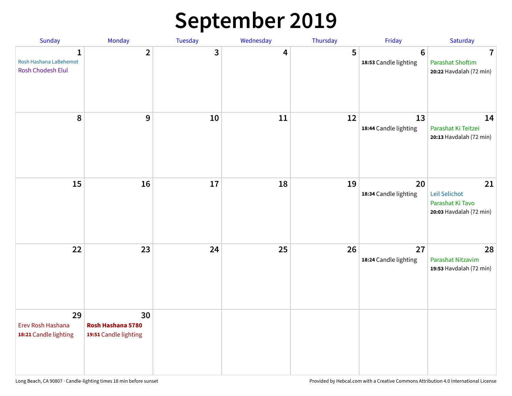# **September 2019**

| Sunday                                           | Monday                                           | Tuesday | Wednesday | Thursday | Friday                                  | Saturday                                                           |
|--------------------------------------------------|--------------------------------------------------|---------|-----------|----------|-----------------------------------------|--------------------------------------------------------------------|
| 1<br>Rosh Hashana LaBehemot<br>Rosh Chodesh Elul | $\overline{2}$                                   | 3       | 4         | 5        | $6\phantom{1}$<br>18:53 Candle lighting | 7<br><b>Parashat Shoftim</b><br>20:22 Havdalah (72 min)            |
| 8                                                | 9                                                | 10      | 11        | 12       | 13<br>18:44 Candle lighting             | 14<br>Parashat Ki Teitzei<br>20:13 Havdalah (72 min)               |
| 15                                               | 16                                               | 17      | 18        | 19       | 20<br>18:34 Candle lighting             | 21<br>Leil Selichot<br>Parashat Ki Tavo<br>20:03 Havdalah (72 min) |
| 22                                               | 23                                               | 24      | 25        | 26       | 27<br>18:24 Candle lighting             | 28<br>Parashat Nitzavim<br>19:53 Havdalah (72 min)                 |
| 29<br>Erev Rosh Hashana<br>18:21 Candle lighting | 30<br>Rosh Hashana 5780<br>19:51 Candle lighting |         |           |          |                                         |                                                                    |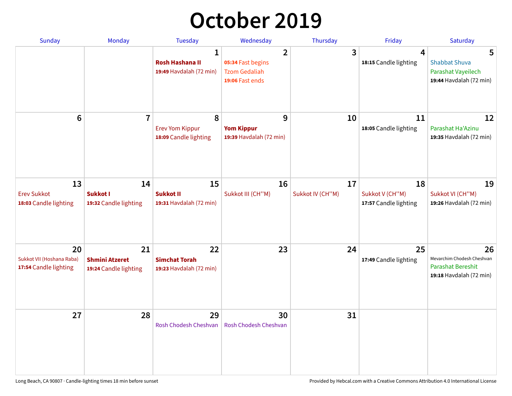# **October 2019**

| <b>Sunday</b>                                            | <b>Monday</b>                                        | <b>Tuesday</b>                                                    | Wednesday                                                                      | Thursday               | Friday                                         | Saturday                                                                                |
|----------------------------------------------------------|------------------------------------------------------|-------------------------------------------------------------------|--------------------------------------------------------------------------------|------------------------|------------------------------------------------|-----------------------------------------------------------------------------------------|
|                                                          |                                                      | $\mathbf{1}$<br><b>Rosh Hashana II</b><br>19:49 Havdalah (72 min) | $\overline{2}$<br>05:34 Fast begins<br><b>Tzom Gedaliah</b><br>19:06 Fast ends | 3                      | 4<br>18:15 Candle lighting                     | 5<br><b>Shabbat Shuva</b><br>Parashat Vayeilech<br>19:44 Havdalah (72 min)              |
| 6                                                        | $\overline{7}$                                       | 8<br><b>Erev Yom Kippur</b><br>18:09 Candle lighting              | 9<br><b>Yom Kippur</b><br>19:39 Havdalah (72 min)                              | 10                     | 11<br>18:05 Candle lighting                    | 12<br>Parashat Ha'Azinu<br>19:35 Havdalah (72 min)                                      |
| 13<br><b>Erev Sukkot</b><br>18:03 Candle lighting        | 14<br>Sukkot I<br>19:32 Candle lighting              | 15<br><b>Sukkot II</b><br>19:31 Havdalah (72 min)                 | 16<br>Sukkot III (CH"M)                                                        | 17<br>Sukkot IV (CH"M) | 18<br>Sukkot V (CH"M)<br>17:57 Candle lighting | 19<br>Sukkot VI (CH"M)<br>19:26 Havdalah (72 min)                                       |
| 20<br>Sukkot VII (Hoshana Raba)<br>17:54 Candle lighting | 21<br><b>Shmini Atzeret</b><br>19:24 Candle lighting | 22<br><b>Simchat Torah</b><br>19:23 Havdalah (72 min)             | 23                                                                             | 24                     | 25<br>17:49 Candle lighting                    | 26<br>Mevarchim Chodesh Cheshvan<br><b>Parashat Bereshit</b><br>19:18 Havdalah (72 min) |
| 27                                                       | 28                                                   | 29<br>Rosh Chodesh Cheshvan                                       | 30<br>Rosh Chodesh Cheshvan                                                    | 31                     |                                                |                                                                                         |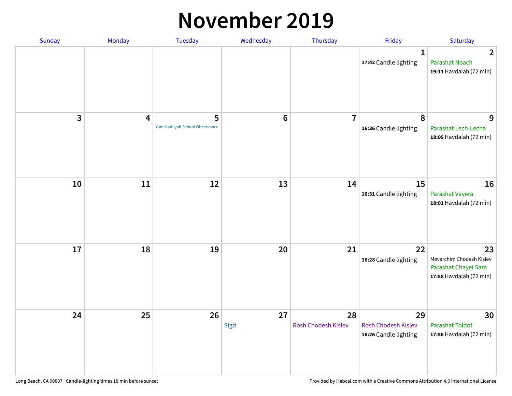#### **November 2019**

| Sunday | Monday | <b>Tuesday</b>                      | Wednesday  | Thursday                  | Friday                                             | Saturday                                                                          |
|--------|--------|-------------------------------------|------------|---------------------------|----------------------------------------------------|-----------------------------------------------------------------------------------|
|        |        |                                     |            |                           | 1<br>17:42 Candle lighting                         | $\overline{2}$<br>Parashat Noach<br>19:11 Havdalah (72 min)                       |
| 3      | 4      | 5<br>Yom HaAliyah School Observance | $\bf 6$    | $\overline{7}$            | $\pmb{8}$<br>16:36 Candle lighting                 | 9<br>Parashat Lech-Lecha<br>18:05 Havdalah (72 min)                               |
| 10     | $11\,$ | 12                                  | 13         | 14                        | 15<br>16:31 Candle lighting                        | 16<br>Parashat Vayera<br>18:01 Havdalah (72 min)                                  |
| 17     | 18     | 19                                  | 20         | 21                        | 22<br>16:28 Candle lighting                        | 23<br>Mevarchim Chodesh Kislev<br>Parashat Chayei Sara<br>17:58 Havdalah (72 min) |
| 24     | 25     | 26                                  | 27<br>Sigd | 28<br>Rosh Chodesh Kislev | 29<br>Rosh Chodesh Kislev<br>16:26 Candle lighting | 30<br><b>Parashat Toldot</b><br>17:56 Havdalah (72 min)                           |